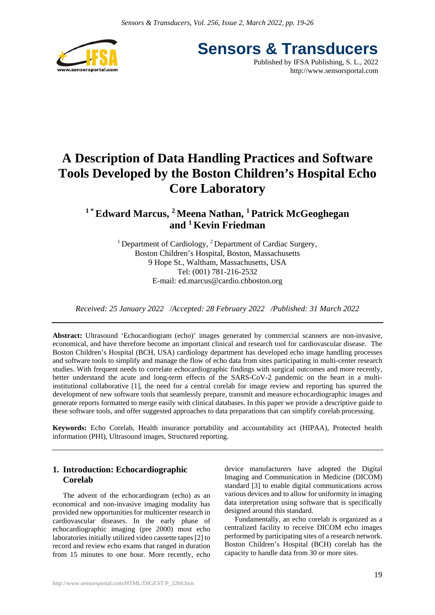

**Sensors & Transducers** Published by IFSA Publishing, S. L., 2022 http://www.sensorsportal.com

# **A Description of Data Handling Practices and Software Tools Developed by the Boston Children's Hospital Echo Core Laboratory**

## **1 \* Edward Marcus, 2 Meena Nathan, 1 Patrick McGeoghegan and 1 Kevin Friedman**

<sup>1</sup> Department of Cardiology, <sup>2</sup> Department of Cardiac Surgery, Boston Children's Hospital, Boston, Massachusetts 9 Hope St., Waltham, Massachusetts, USA Tel: (001) 781-216-2532 E-mail: ed.marcus@cardio.chboston.org

*Received: 25 January 2022 /Accepted: 28 February 2022 /Published: 31 March 2022*

**Abstract:** Ultrasound 'Echocardiogram (echo)' images generated by commercial scanners are non-invasive, economical, and have therefore become an important clinical and research tool for cardiovascular disease. The Boston Children's Hospital (BCH, USA) cardiology department has developed echo image handling processes and software tools to simplify and manage the flow of echo data from sites participating in multi-center research studies. With frequent needs to correlate echocardiographic findings with surgical outcomes and more recently, better understand the acute and long-term effects of the SARS-CoV-2 pandemic on the heart in a multiinstitutional collaborative [1], the need for a central corelab for image review and reporting has spurred the development of new software tools that seamlessly prepare, transmit and measure echocardiographic images and generate reports formatted to merge easily with clinical databases. In this paper we provide a descriptive guide to these software tools, and offer suggested approaches to data preparations that can simplify corelab processing.

**Keywords:** Echo Corelab, Health insurance portability and accountability act (HIPAA), Protected health information (PHI), Ultrasound images, Structured reporting.

## **1. Introduction: Echocardiographic Corelab**

The advent of the echocardiogram (echo) as an economical and non-invasive imaging modality has provided new opportunities for multicenter research in cardiovascular diseases. In the early phase of echocardiographic imaging (pre 2000) most echo laboratories initially utilized video cassette tapes [2] to record and review echo exams that ranged in duration from 15 minutes to one hour. More recently, echo device manufacturers have adopted the Digital Imaging and Communication in Medicine (DICOM) standard [3] to enable digital communications across various devices and to allow for uniformity in imaging data interpretation using software that is specifically designed around this standard.

Fundamentally, an echo corelab is organized as a centralized facility to receive DICOM echo images performed by participating sites of a research network. Boston Children's Hospital (BCH) corelab has the capacity to handle data from 30 or more sites.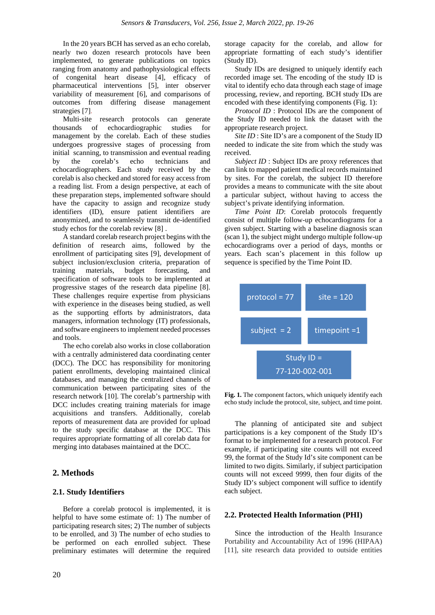In the 20 years BCH has served as an echo corelab, nearly two dozen research protocols have been implemented, to generate publications on topics ranging from anatomy and pathophysiological effects of congenital heart disease [4], efficacy of pharmaceutical interventions [5], inter observer variability of measurement [6], and comparisons of outcomes from differing disease management strategies [7].

Multi-site research protocols can generate thousands of echocardiographic studies for management by the corelab. Each of these studies undergoes progressive stages of processing from initial scanning, to transmission and eventual reading by the corelab's echo technicians and echocardiographers. Each study received by the corelab is also checked and stored for easy access from a reading list. From a design perspective, at each of these preparation steps, implemented software should have the capacity to assign and recognize study identifiers (ID), ensure patient identifiers are anonymized, and to seamlessly transmit de-identified study echos for the corelab review [8] .

A standard corelab research project begins with the definition of research aims, followed by the enrollment of participating sites [9], development of subject inclusion/exclusion criteria, preparation of training materials, budget forecasting, and specification of software tools to be implemented at progressive stages of the research data pipeline [8]. These challenges require expertise from physicians with experience in the diseases being studied, as well as the supporting efforts by administrators, data managers, information technology (IT) professionals, and software engineers to implement needed processes and tools.

The echo corelab also works in close collaboration with a centrally administered data coordinating center (DCC). The DCC has responsibility for monitoring patient enrollments, developing maintained clinical databases, and managing the centralized channels of communication between participating sites of the research network [10]. The corelab's partnership with DCC includes creating training materials for image acquisitions and transfers. Additionally, corelab reports of measurement data are provided for upload to the study specific database at the DCC. This requires appropriate formatting of all corelab data for merging into databases maintained at the DCC.

## **2. Methods**

## **2.1. Study Identifiers**

Before a corelab protocol is implemented, it is helpful to have some estimate of: 1) The number of participating research sites; 2) The number of subjects to be enrolled, and 3) The number of echo studies to be performed on each enrolled subject. These preliminary estimates will determine the required

storage capacity for the corelab, and allow for appropriate formatting of each study's identifier (Study ID).

Study IDs are designed to uniquely identify each recorded image set. The encoding of the study ID is vital to identify echo data through each stage of image processing, review, and reporting. BCH study IDs are encoded with these identifying components (Fig. 1):

*Protocol ID* : Protocol IDs are the component of the Study ID needed to link the dataset with the appropriate research project.

*Site ID* : Site ID's are a component of the Study ID needed to indicate the site from which the study was received.

*Subject ID* : Subject IDs are proxy references that can link to mapped patient medical records maintained by sites. For the corelab, the subject ID therefore provides a means to communicate with the site about a particular subject, without having to access the subject's private identifying information.

*Time Point ID*: Corelab protocols frequently consist of multiple follow-up echocardiograms for a given subject. Starting with a baseline diagnosis scan (scan 1), the subject might undergo multiple follow-up echocardiograms over a period of days, months or years. Each scan's placement in this follow up sequence is specified by the Time Point ID.



**Fig. 1.** The component factors, which uniquely identify each echo study include the protocol, site, subject, and time point.

The planning of anticipated site and subject participations is a key component of the Study ID's format to be implemented for a research protocol. For example, if participating site counts will not exceed 99, the format of the Study Id's site component can be limited to two digits. Similarly, if subject participation counts will not exceed 9999, then four digits of the Study ID's subject component will suffice to identify each subject.

## **2.2. Protected Health Information (PHI)**

Since the introduction of the Health Insurance Portability and Accountability Act of 1996 (HIPAA) [11], site research data provided to outside entities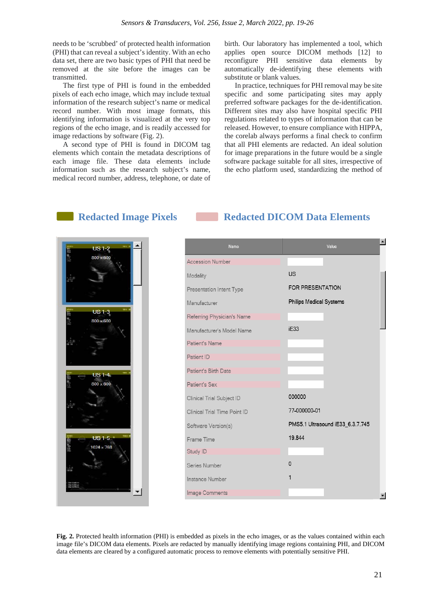needs to be 'scrubbed' of protected health information (PHI) that can reveal a subject's identity. With an echo data set, there are two basic types of PHI that need be removed at the site before the images can be transmitted.

The first type of PHI is found in the embedded pixels of each echo image, which may include textual information of the research subject's name or medical record number. With most image formats, this identifying information is visualized at the very top regions of the echo image, and is readily accessed for image redactions by software (Fig. 2).

A second type of PHI is found in DICOM tag elements which contain the metadata descriptions of each image file. These data elements include information such as the research subject's name, medical record number, address, telephone, or date of

birth. Our laboratory has implemented a tool, which applies open source DICOM methods [12] to reconfigure PHI sensitive data elements by automatically de-identifying these elements with substitute or blank values.

In practice, techniques for PHI removal may be site specific and some participating sites may apply preferred software packages for the de-identification. Different sites may also have hospital specific PHI regulations related to types of information that can be released. However, to ensure compliance with HIPPA, the corelab always performs a final check to confirm that all PHI elements are redacted. An ideal solution for image preparations in the future would be a single software package suitable for all sites, irrespective of the echo platform used, standardizing the method of

## **Redacted Image Pixels Redacted DICOM Data Elements**



## $\blacktriangle$ **Name** .<br>Value **Accession Number**  $| \cdot |$ Modality FOR PRESENTATION Presentation Intent Type **Philips Medical Systems** Manufacturer Referring Physician's Name iE33 Manufacturer's Model Name Patient's Name Patient ID Patient's Birth Date Patient's Sex 000000 Clinical Trial Subiect ID 77-000000-01 Clinical Trial Time Point ID PMS5.1 Ultrasound iE33\_6.3.7.745 Software Version(s) 19.844 Frame Time Study ID  $\overline{0}$ Series Number Instance Number Image Comments

**Fig. 2.** Protected health information (PHI) is embedded as pixels in the echo images, or as the values contained within each image file's DICOM data elements. Pixels are redacted by manually identifying image regions containing PHI, and DICOM data elements are cleared by a configured automatic process to remove elements with potentially sensitive PHI.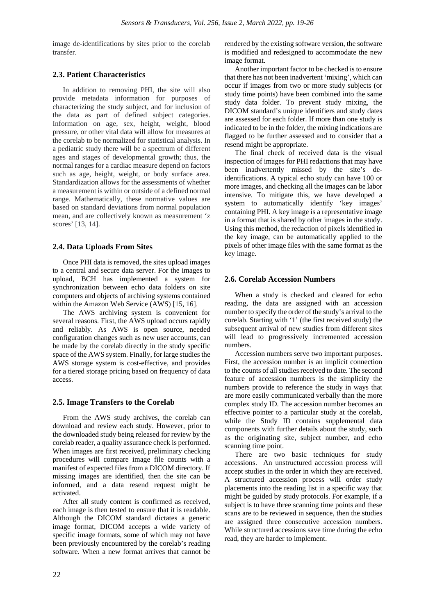image de-identifications by sites prior to the corelab transfer.

## **2.3. Patient Characteristics**

In addition to removing PHI, the site will also provide metadata information for purposes of characterizing the study subject, and for inclusion of the data as part of defined subject categories. Information on age, sex, height, weight, blood pressure, or other vital data will allow for measures at the corelab to be normalized for statistical analysis. In a pediatric study there will be a spectrum of different ages and stages of developmental growth; thus, the normal ranges for a cardiac measure depend on factors such as age, height, weight, or body surface area. Standardization allows for the assessments of whether a measurement is within or outside of a defined normal range. Mathematically, these normative values are based on standard deviations from normal population mean, and are collectively known as measurement 'z scores' [13, 14].

## **2.4. Data Uploads From Sites**

Once PHI data is removed, the sites upload images to a central and secure data server. For the images to upload, BCH has implemented a system for synchronization between echo data folders on site computers and objects of archiving systems contained within the Amazon Web Service (AWS) [15, 16].

The AWS archiving system is convenient for several reasons. First, the AWS upload occurs rapidly and reliably. As AWS is open source, needed configuration changes such as new user accounts, can be made by the corelab directly in the study specific space of the AWS system. Finally, for large studies the AWS storage system is cost-effective, and provides for a tiered storage pricing based on frequency of data access.

## **2.5. Image Transfers to the Corelab**

From the AWS study archives, the corelab can download and review each study. However, prior to the downloaded study being released for review by the corelab reader, a quality assurance check is performed. When images are first received, preliminary checking procedures will compare image file counts with a manifest of expected files from a DICOM directory. If missing images are identified, then the site can be informed, and a data resend request might be activated.

After all study content is confirmed as received, each image is then tested to ensure that it is readable. Although the DICOM standard dictates a generic image format, DICOM accepts a wide variety of specific image formats, some of which may not have been previously encountered by the corelab's reading software. When a new format arrives that cannot be

rendered by the existing software version, the software is modified and redesigned to accommodate the new image format.

Another important factor to be checked is to ensure that there has not been inadvertent 'mixing', which can occur if images from two or more study subjects (or study time points) have been combined into the same study data folder. To prevent study mixing, the DICOM standard's unique identifiers and study dates are assessed for each folder. If more than one study is indicated to be in the folder, the mixing indications are flagged to be further assessed and to consider that a resend might be appropriate.

The final check of received data is the visual inspection of images for PHI redactions that may have been inadvertently missed by the site's deidentifications. A typical echo study can have 100 or more images, and checking all the images can be labor intensive. To mitigate this, we have developed a system to automatically identify 'key images' containing PHI. A key image is a representative image in a format that is shared by other images in the study. Using this method, the redaction of pixels identified in the key image, can be automatically applied to the pixels of other image files with the same format as the key image.

## **2.6. Corelab Accession Numbers**

When a study is checked and cleared for echo reading, the data are assigned with an accession number to specify the order of the study's arrival to the corelab. Starting with '1' (the first received study) the subsequent arrival of new studies from different sites will lead to progressively incremented accession numbers.

Accession numbers serve two important purposes. First, the accession number is an implicit connection to the counts of all studies received to date. The second feature of accession numbers is the simplicity the numbers provide to reference the study in ways that are more easily communicated verbally than the more complex study ID. The accession number becomes an effective pointer to a particular study at the corelab, while the Study ID contains supplemental data components with further details about the study, such as the originating site, subject number, and echo scanning time point.

There are two basic techniques for study accessions. An unstructured accession process will accept studies in the order in which they are received. A structured accession process will order study placements into the reading list in a specific way that might be guided by study protocols. For example, if a subject is to have three scanning time points and these scans are to be reviewed in sequence, then the studies are assigned three consecutive accession numbers. While structured accessions save time during the echo read, they are harder to implement.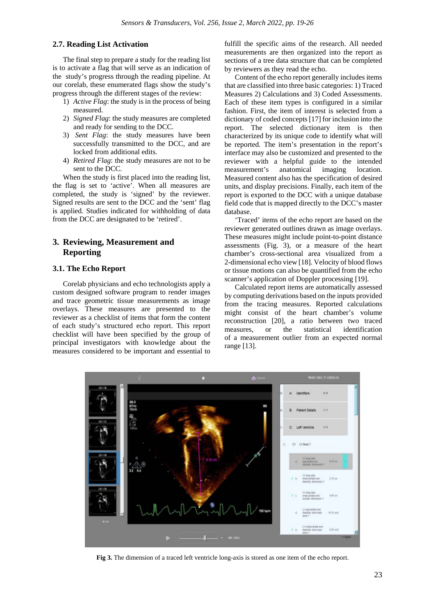## **2.7. Reading List Activation**

The final step to prepare a study for the reading list is to activate a flag that will serve as an indication of the study's progress through the reading pipeline. At our corelab, these enumerated flags show the study's progress through the different stages of the review:

- 1) *Active Flag*: the study is in the process of being measured.
- 2) *Signed Flag*: the study measures are completed and ready for sending to the DCC.
- 3) *Sent Flag*: the study measures have been successfully transmitted to the DCC, and are locked from additional edits.
- 4) *Retired Flag*: the study measures are not to be sent to the DCC.

When the study is first placed into the reading list, the flag is set to 'active'. When all measures are completed, the study is 'signed' by the reviewer. Signed results are sent to the DCC and the 'sent' flag is applied. Studies indicated for withholding of data from the DCC are designated to be 'retired'.

## **3. Reviewing, Measurement and Reporting**

## **3.1. The Echo Report**

Corelab physicians and echo technologists apply a custom designed software program to render images and trace geometric tissue measurements as image overlays. These measures are presented to the reviewer as a checklist of items that form the content of each study's structured echo report. This report checklist will have been specified by the group of principal investigators with knowledge about the measures considered to be important and essential to

fulfill the specific aims of the research. All needed measurements are then organized into the report as sections of a tree data structure that can be completed by reviewers as they read the echo.

Content of the echo report generally includes items that are classified into three basic categories: 1) Traced Measures 2) Calculations and 3) Coded Assessments. Each of these item types is configured in a similar fashion. First, the item of interest is selected from a dictionary of coded concepts [17] for inclusion into the report. The selected dictionary item is then characterized by its unique code to identify what will be reported. The item's presentation in the report's interface may also be customized and presented to the reviewer with a helpful guide to the intended measurement's anatomical imaging location. Measured content also has the specification of desired units, and display precisions. Finally, each item of the report is exported to the DCC with a unique database field code that is mapped directly to the DCC's master database.

'Traced' items of the echo report are based on the reviewer generated outlines drawn as image overlays. These measures might include point-to-point distance assessments (Fig. 3), or a measure of the heart chamber's cross-sectional area visualized from a 2-dimensional echo view [18]. Velocity of blood flows or tissue motions can also be quantified from the echo scanner's application of Doppler processing [19].

Calculated report items are automatically assessed by computing derivations based on the inputs provided from the tracing measures. Reported calculations might consist of the heart chamber's volume reconstruction [20], a ratio between two traced measures, or the statistical identification of a measurement outlier from an expected normal range [13].



**Fig 3.** The dimension of a traced left ventricle long-axis is stored as one item of the echo report.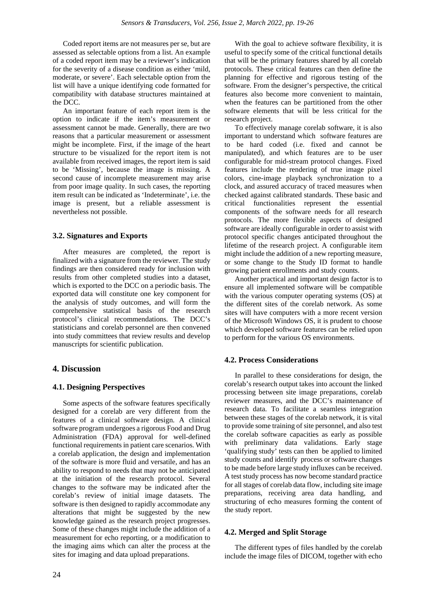Coded report items are not measures per se, but are assessed as selectable options from a list. An example of a coded report item may be a reviewer's indication for the severity of a disease condition as either 'mild, moderate, or severe'. Each selectable option from the list will have a unique identifying code formatted for compatibility with database structures maintained at the DCC.

An important feature of each report item is the option to indicate if the item's measurement or assessment cannot be made. Generally, there are two reasons that a particular measurement or assessment might be incomplete. First, if the image of the heart structure to be visualized for the report item is not available from received images, the report item is said to be 'Missing', because the image is missing. A second cause of incomplete measurement may arise from poor image quality. In such cases, the reporting item result can be indicated as 'Indeterminate', i.e. the image is present, but a reliable assessment is nevertheless not possible.

## **3.2. Signatures and Exports**

After measures are completed, the report is finalized with a signature from the reviewer. The study findings are then considered ready for inclusion with results from other completed studies into a dataset, which is exported to the DCC on a periodic basis. The exported data will constitute one key component for the analysis of study outcomes, and will form the comprehensive statistical basis of the research protocol's clinical recommendations. The DCC's statisticians and corelab personnel are then convened into study committees that review results and develop manuscripts for scientific publication.

## **4. Discussion**

#### **4.1. Designing Perspectives**

Some aspects of the software features specifically designed for a corelab are very different from the features of a clinical software design. A clinical software program undergoes a rigorous Food and Drug Administration (FDA) approval for well-defined functional requirements in patient care scenarios. With a corelab application, the design and implementation of the software is more fluid and versatile, and has an ability to respond to needs that may not be anticipated at the initiation of the research protocol. Several changes to the software may be indicated after the corelab's review of initial image datasets. The software is then designed to rapidly accommodate any alterations that might be suggested by the new knowledge gained as the research project progresses. Some of these changes might include the addition of a measurement for echo reporting, or a modification to the imaging aims which can alter the process at the sites for imaging and data upload preparations.

With the goal to achieve software flexibility, it is useful to specify some of the critical functional details that will be the primary features shared by all corelab protocols. These critical features can then define the planning for effective and rigorous testing of the software. From the designer's perspective, the critical features also become more convenient to maintain, when the features can be partitioned from the other software elements that will be less critical for the research project.

To effectively manage corelab software, it is also important to understand which software features are to be hard coded (i.e. fixed and cannot be manipulated), and which features are to be user configurable for mid-stream protocol changes. Fixed features include the rendering of true image pixel colors, cine-image playback synchronization to a clock, and assured accuracy of traced measures when checked against calibrated standards. These basic and critical functionalities represent the essential components of the software needs for all research protocols. The more flexible aspects of designed software are ideally configurable in order to assist with protocol specific changes anticipated throughout the lifetime of the research project. A configurable item might include the addition of a new reporting measure, or some change to the Study ID format to handle growing patient enrollments and study counts.

Another practical and important design factor is to ensure all implemented software will be compatible with the various computer operating systems (OS) at the different sites of the corelab network. As some sites will have computers with a more recent version of the Microsoft Windows OS, it is prudent to choose which developed software features can be relied upon to perform for the various OS environments.

#### **4.2. Process Considerations**

In parallel to these considerations for design, the corelab's research output takes into account the linked processing between site image preparations, corelab reviewer measures, and the DCC's maintenance of research data. To facilitate a seamless integration between these stages of the corelab network, it is vital to provide some training of site personnel, and also test the corelab software capacities as early as possible with preliminary data validations. Early stage 'qualifying study' tests can then be applied to limited study counts and identify process or software changes to be made before large study influxes can be received. A test study process has now become standard practice for all stages of corelab data flow, including site image preparations, receiving area data handling, and structuring of echo measures forming the content of the study report.

## **4.2. Merged and Split Storage**

The different types of files handled by the corelab include the image files of DICOM, together with echo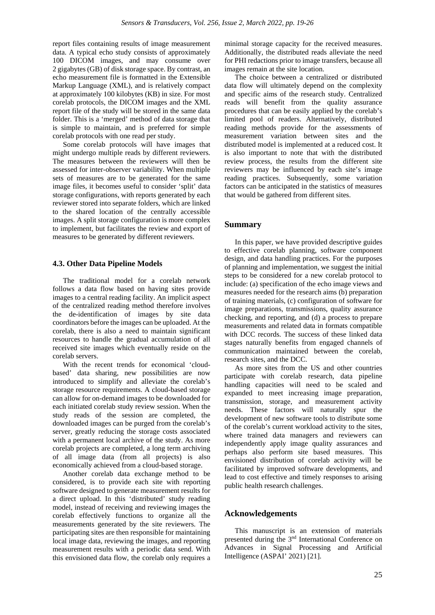report files containing results of image measurement data. A typical echo study consists of approximately 100 DICOM images, and may consume over 2 gigabytes (GB) of disk storage space. By contrast, an echo measurement file is formatted in the Extensible Markup Language (XML), and is relatively compact at approximately 100 kilobytes (KB) in size. For most corelab protocols, the DICOM images and the XML report file of the study will be stored in the same data folder. This is a 'merged' method of data storage that is simple to maintain, and is preferred for simple corelab protocols with one read per study.

Some corelab protocols will have images that might undergo multiple reads by different reviewers. The measures between the reviewers will then be assessed for inter-observer variability. When multiple sets of measures are to be generated for the same image files, it becomes useful to consider 'split' data storage configurations, with reports generated by each reviewer stored into separate folders, which are linked to the shared location of the centrally accessible images. A split storage configuration is more complex to implement, but facilitates the review and export of measures to be generated by different reviewers.

## **4.3. Other Data Pipeline Models**

The traditional model for a corelab network follows a data flow based on having sites provide images to a central reading facility. An implicit aspect of the centralized reading method therefore involves the de-identification of images by site data coordinators before the images can be uploaded. At the corelab, there is also a need to maintain significant resources to handle the gradual accumulation of all received site images which eventually reside on the corelab servers.

With the recent trends for economical 'cloudbased' data sharing, new possibilities are now introduced to simplify and alleviate the corelab's storage resource requirements. A cloud-based storage can allow for on-demand images to be downloaded for each initiated corelab study review session. When the study reads of the session are completed, the downloaded images can be purged from the corelab's server, greatly reducing the storage costs associated with a permanent local archive of the study. As more corelab projects are completed, a long term archiving of all image data (from all projects) is also economically achieved from a cloud-based storage.

Another corelab data exchange method to be considered, is to provide each site with reporting software designed to generate measurement results for a direct upload. In this 'distributed' study reading model, instead of receiving and reviewing images the corelab effectively functions to organize all the measurements generated by the site reviewers. The participating sites are then responsible for maintaining local image data, reviewing the images, and reporting measurement results with a periodic data send. With this envisioned data flow, the corelab only requires a

minimal storage capacity for the received measures. Additionally, the distributed reads alleviate the need for PHI redactions prior to image transfers, because all images remain at the site location.

The choice between a centralized or distributed data flow will ultimately depend on the complexity and specific aims of the research study. Centralized reads will benefit from the quality assurance procedures that can be easily applied by the corelab's limited pool of readers. Alternatively, distributed reading methods provide for the assessments of measurement variation between sites and the distributed model is implemented at a reduced cost. It is also important to note that with the distributed review process, the results from the different site reviewers may be influenced by each site's image reading practices. Subsequently, some variation factors can be anticipated in the statistics of measures that would be gathered from different sites.

## **Summary**

In this paper, we have provided descriptive guides to effective corelab planning, software component design, and data handling practices. For the purposes of planning and implementation, we suggest the initial steps to be considered for a new corelab protocol to include: (a) specification of the echo image views and measures needed for the research aims (b) preparation of training materials, (c) configuration of software for image preparations, transmissions, quality assurance checking, and reporting, and (d) a process to prepare measurements and related data in formats compatible with DCC records. The success of these linked data stages naturally benefits from engaged channels of communication maintained between the corelab, research sites, and the DCC.

As more sites from the US and other countries participate with corelab research, data pipeline handling capacities will need to be scaled and expanded to meet increasing image preparation, transmission, storage, and measurement activity needs. These factors will naturally spur the development of new software tools to distribute some of the corelab's current workload activity to the sites, where trained data managers and reviewers can independently apply image quality assurances and perhaps also perform site based measures. This envisioned distribution of corelab activity will be facilitated by improved software developments, and lead to cost effective and timely responses to arising public health research challenges.

#### **Acknowledgements**

This manuscript is an extension of materials presented during the 3nd International Conference on Advances in Signal Processing and Artificial Intelligence (ASPAI' 2021) [21].